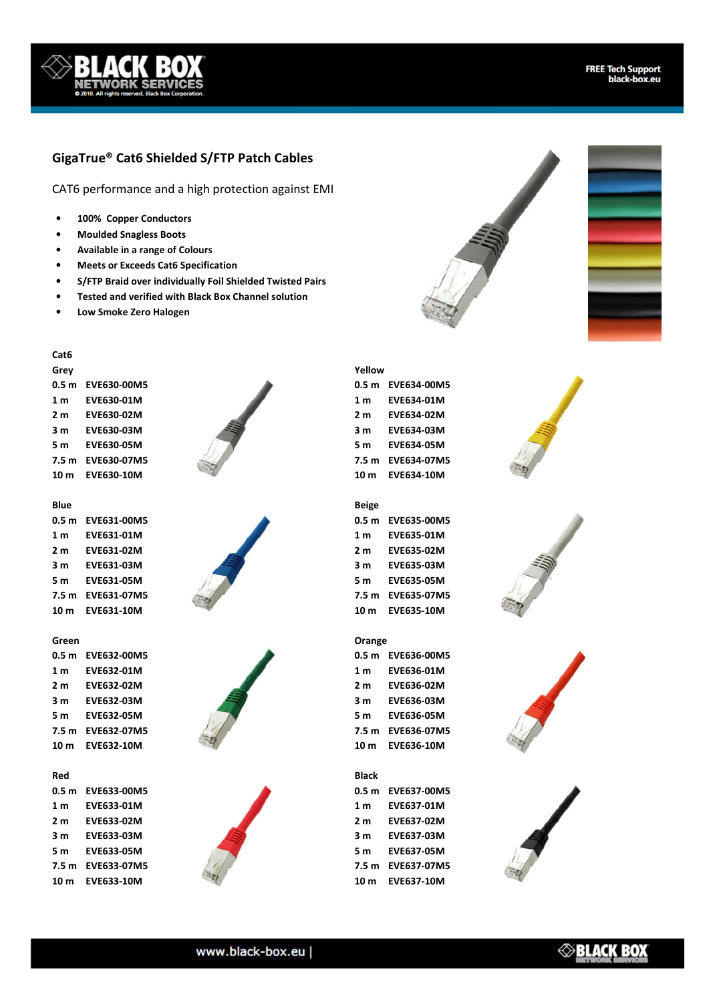# **GigaTrue® Cat6 Shielded S/FTP Patch Cables**

CAT6 performance and a high protection against EMI

- **100% Copper Conductors**
- **Moulded Snagless Boots**
- **Available in a range of Colours**
- **Meets or Exceeds Cat6 Specification**
- **S/FTP Braid over individually Foil Shielded Twisted Pairs**
- **Tested and verified with Black Box Channel solution**
- **Low Smoke Zero Halogen**

## **Cat6**

**Grey 0.5 m EVE630-00M5 1 m EVE630-01M 2 m EVE630-02M 3 m EVE630-03M 5 m EVE630-05M 7.5 m EVE630-07M5 10 m EVE630-10M** 

## **Blue**

**0.5 m EVE631-00M5 1 m EVE631-01M 2 m EVE631-02M 3 m EVE631-03M 5 m EVE631-05M 7.5 m EVE631-07M5 10 m EVE631-10M** 





**0.5 m EVE632-00M5 1 m EVE632-01M 2 m EVE632-02M 3 m EVE632-03M 5 m EVE632-05M 7.5 m EVE632-07M5 10 m EVE632-10M** 

### **Red**

**0.5 m EVE633-00M5 1 m EVE633-01M 2 m EVE633-02M 3 m EVE633-03M 5 m EVE633-05M 7.5 m EVE633-07M5 10 m EVE633-10M** 









#### **Yellow**

**0.5 m EVE634-00M5 1 m EVE634-01M 2 m EVE634-02M 3 m EVE634-03M 5 m EVE634-05M 7.5 m EVE634-07M5 10 m EVE634-10M** 

## **Beige**

**0.5 m EVE635-00M5 1 m EVE635-01M 2 m EVE635-02M 3 m EVE635-03M 5 m EVE635-05M 7.5 m EVE635-07M5 10 m EVE635-10M** 

#### **Orange**

**0.5 m EVE636-00M5 1 m EVE636-01M 2 m EVE636-02M 3 m EVE636-03M 5 m EVE636-05M 7.5 m EVE636-07M5 10 m EVE636-10M** 

# **Black**

**0.5 m EVE637-00M5 1 m EVE637-01M 2 m EVE637-02M 3 m EVE637-03M 5 m EVE637-05M 7.5 m EVE637-07M5 10 m EVE637-10M** 









## www.black-box.eu |

# $\otimes$ black box